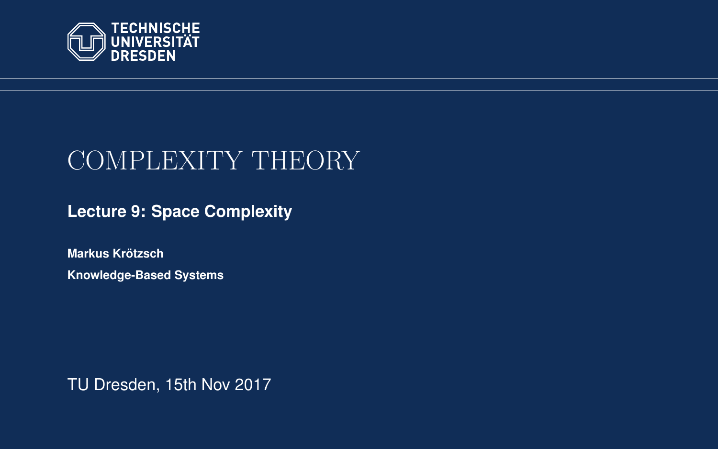<span id="page-0-0"></span>

# COMPLEXITY THEORY

**[Lecture 9: Space Complexity](https://iccl.inf.tu-dresden.de/web/Complexity_Theory_(WS2017/18))**

**[Markus Krotzsch](https://iccl.inf.tu-dresden.de/web/Markus_Kr%C3%B6tzsch/en) ¨ Knowledge-Based Systems**

TU Dresden, 15th Nov 2017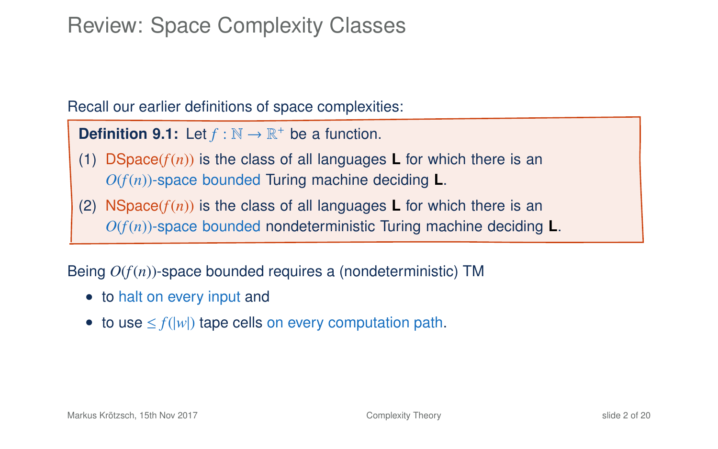### Review: Space Complexity Classes

Recall our earlier definitions of space complexities:

**Definition 9.1:** Let  $f : \mathbb{N} \to \mathbb{R}^+$  be a function.

- (1) DSpace( $f(n)$ ) is the class of all languages **L** for which there is an *O*(*f*(*n*))-space bounded Turing machine deciding **L**.
- (2) NSpace( $f(n)$ ) is the class of all languages **L** for which there is an *O*(*f*(*n*))-space bounded nondeterministic Turing machine deciding **L**.

Being *O*(*f*(*n*))-space bounded requires a (nondeterministic) TM

- to halt on every input and
- to use  $\leq f(|w|)$  tape cells on every computation path.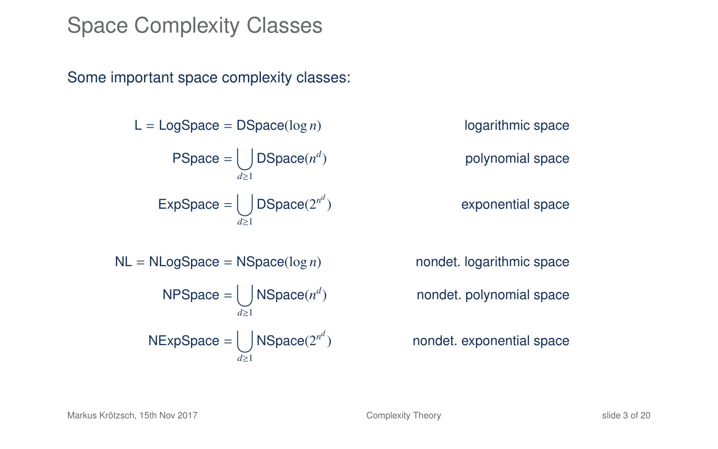#### Space Complexity Classes

Some important space complexity classes:

 $L = LogSpace = DSpace(log n)$  logarithmic space  $PSpace = |$ *d*≥1 DSpace( $n^d$  $ExpSpace = |$ *d*≥1  $DSpace(2^{n^d})$ 

) polynomial space

exponential space

NL = NLogSpace = NSpace(log *n*) nondet. logarithmic space  $NPSpace = |$ *d*≥1 NSpace(*n d*  $NExpSpace = |$ *d*≥1 NSpace(2<sup>nd</sup>

) nondet. polynomial space

) nondet. exponential space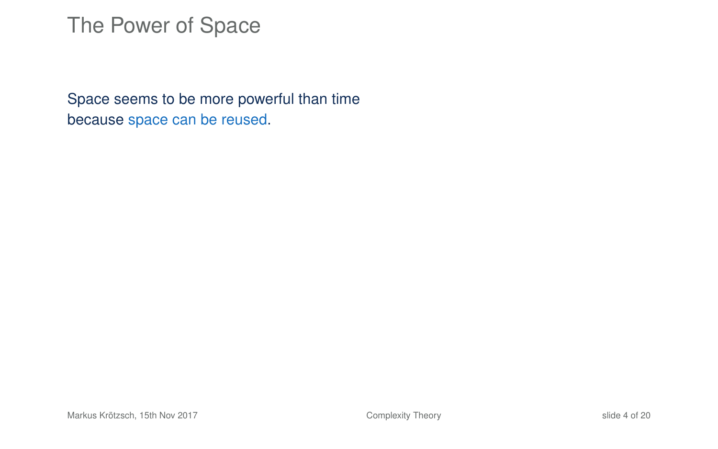Space seems to be more powerful than time because space can be reused.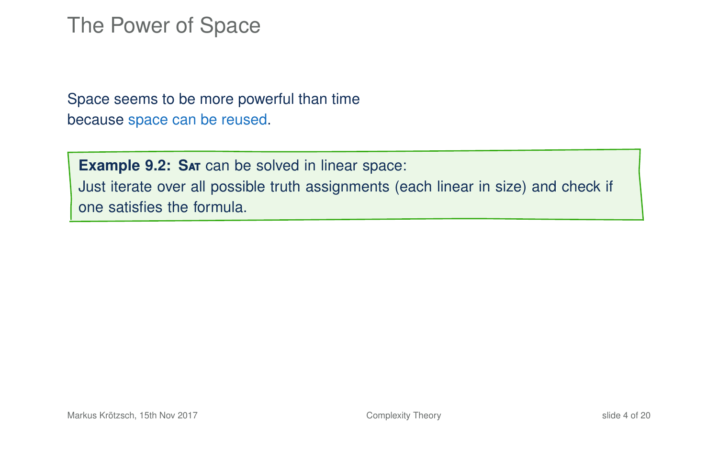Space seems to be more powerful than time because space can be reused.

**Example 9.2: SAT can be solved in linear space:** Just iterate over all possible truth assignments (each linear in size) and check if one satisfies the formula.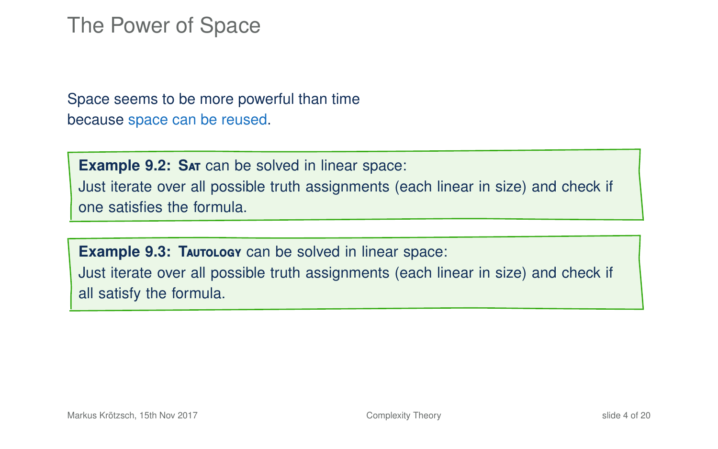Space seems to be more powerful than time because space can be reused.

**Example 9.2: SAT can be solved in linear space:** Just iterate over all possible truth assignments (each linear in size) and check if one satisfies the formula.

**Example 9.3: TAUTOLOGY** can be solved in linear space: Just iterate over all possible truth assignments (each linear in size) and check if all satisfy the formula.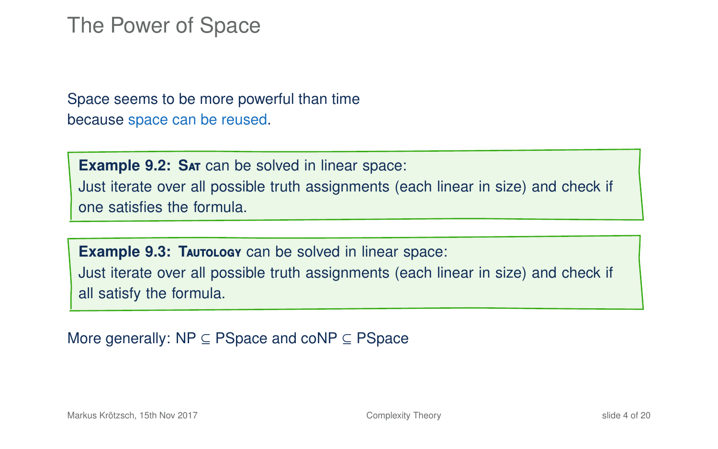Space seems to be more powerful than time because space can be reused.

**Example 9.2: SAT can be solved in linear space:** Just iterate over all possible truth assignments (each linear in size) and check if one satisfies the formula.

**Example 9.3: TAUTOLOGY** can be solved in linear space: Just iterate over all possible truth assignments (each linear in size) and check if all satisfy the formula.

More generally: NP ⊆ PSpace and coNP ⊆ PSpace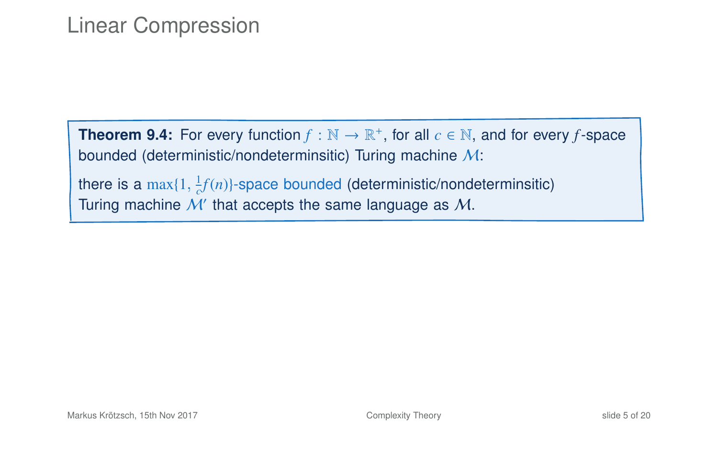#### Linear Compression

**Theorem 9.4:** For every function  $f : \mathbb{N} \to \mathbb{R}^+$ , for all  $c \in \mathbb{N}$ , and for every f-space bounded (deterministic/nondeterminsitic) Turing machine M:

there is a  $\max\{1, \frac{1}{c}f(n)\}$ -space bounded (deterministic/nondeterminsitic) Turing machine  $\mathcal{M}'$  that accepts the same language as  $\mathcal{M}$ .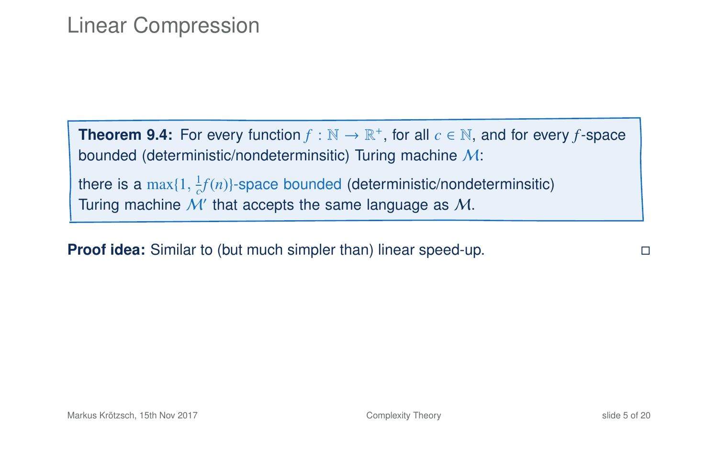#### Linear Compression

**Theorem 9.4:** For every function  $f : \mathbb{N} \to \mathbb{R}^+$ , for all  $c \in \mathbb{N}$ , and for every f-space bounded (deterministic/nondeterminsitic) Turing machine M:

there is a  $\max\{1, \frac{1}{c}f(n)\}$ -space bounded (deterministic/nondeterminsitic) Turing machine  $\mathcal{M}'$  that accepts the same language as  $\mathcal{M}$ .

**Proof idea:** Similar to (but much simpler than) linear speed-up.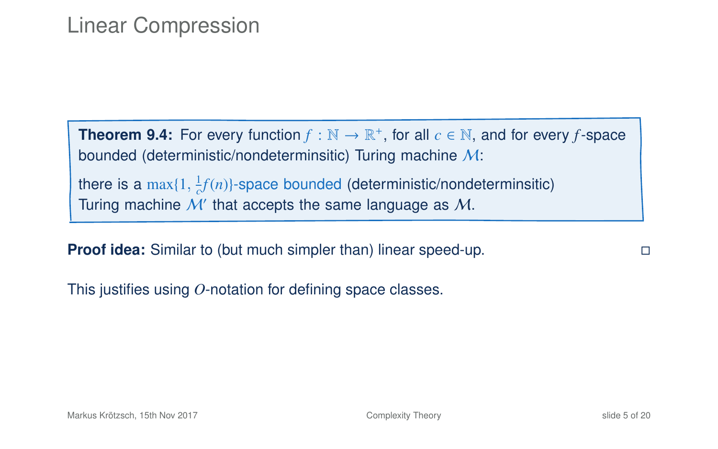#### Linear Compression

**Theorem 9.4:** For every function  $f : \mathbb{N} \to \mathbb{R}^+$ , for all  $c \in \mathbb{N}$ , and for every f-space bounded (deterministic/nondeterminsitic) Turing machine M:

there is a  $\max\{1, \frac{1}{c}f(n)\}$ -space bounded (deterministic/nondeterminsitic) Turing machine  $\mathcal{M}'$  that accepts the same language as  $\mathcal{M}$ .

**Proof idea:** Similar to (but much simpler than) linear speed-up.

This justifies using *O*-notation for defining space classes.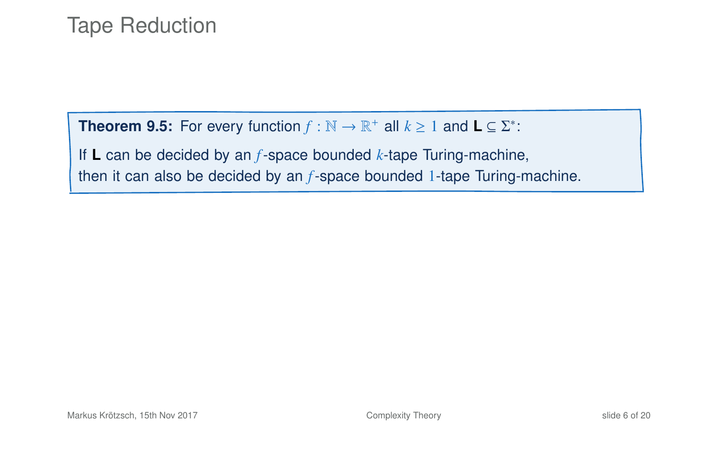#### **Theorem 9.5:** For every function  $f : \mathbb{N} \to \mathbb{R}^+$  all  $k \ge 1$  and  $\mathbf{L} \subseteq \Sigma^*$ :

If **L** can be decided by an *f*-space bounded *k*-tape Turing-machine, then it can also be decided by an *f*-space bounded 1-tape Turing-machine.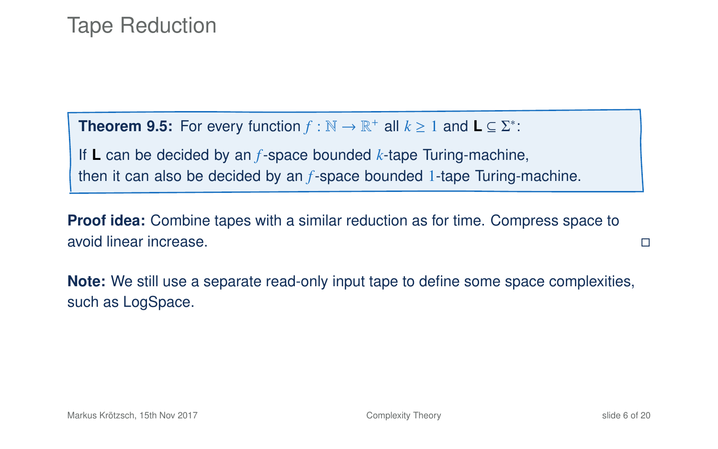**Theorem 9.5:** For every function  $f : \mathbb{N} \to \mathbb{R}^+$  all  $k \ge 1$  and  $\mathbf{L} \subseteq \Sigma^*$ :

If **L** can be decided by an *f*-space bounded *k*-tape Turing-machine, then it can also be decided by an *f*-space bounded 1-tape Turing-machine.

**Proof idea:** Combine tapes with a similar reduction as for time. Compress space to avoid linear increase.

**Note:** We still use a separate read-only input tape to define some space complexities, such as LogSpace.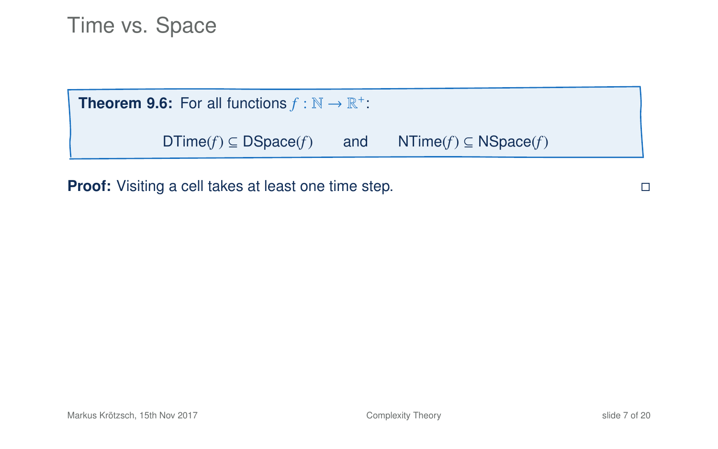**Theorem 9.6:** For all functions  $f : \mathbb{N} \to \mathbb{R}^+$ :

DTime(*f*) ⊆ DSpace(*f*) and NTime(*f*) ⊆ NSpace(*f*)

**Proof:** Visiting a cell takes at least one time step.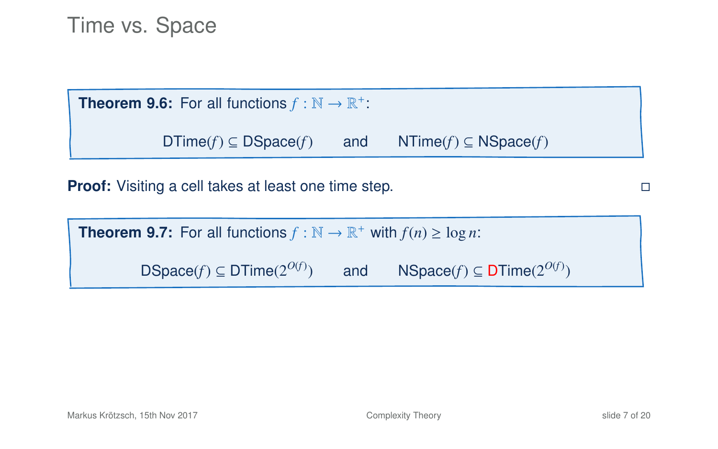**Theorem 9.6:** For all functions  $f : \mathbb{N} \to \mathbb{R}^+$ :

DTime(*f*) ⊆ DSpace(*f*) and NTime(*f*) ⊆ NSpace(*f*)

**Proof:** Visiting a cell takes at least one time step.

| <b>Theorem 9.7:</b> For all functions $f : \mathbb{N} \to \mathbb{R}^+$ with $f(n) \ge \log n$ : |     |                                       |  |  |
|--------------------------------------------------------------------------------------------------|-----|---------------------------------------|--|--|
| $DSpace(f) \subseteq DTime(2^{O(f)})$                                                            | and | $NSpace(f) \subseteq DTime(2^{O(f)})$ |  |  |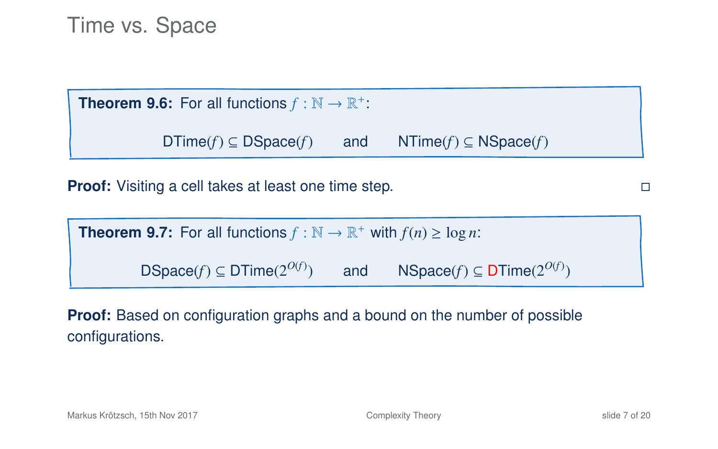**Theorem 9.6:** For all functions  $f : \mathbb{N} \to \mathbb{R}^+$ :

 $DTime(f) \subseteq DSpace(f)$  and  $NTime(f) \subseteq NSpace(f)$ 

**Proof:** Visiting a cell takes at least one time step.

**Theorem 9.7:** For all functions  $f : \mathbb{N} \to \mathbb{R}^+$  with  $f(n) \ge \log n$ : DSpace( $f$ )  $\subset$  DTime( $2^{O(f)}$ ) ) and NSpace(*f*) ⊆ DTime(2<sup>*O(f*)</sup>)

**Proof:** Based on configuration graphs and a bound on the number of possible configurations.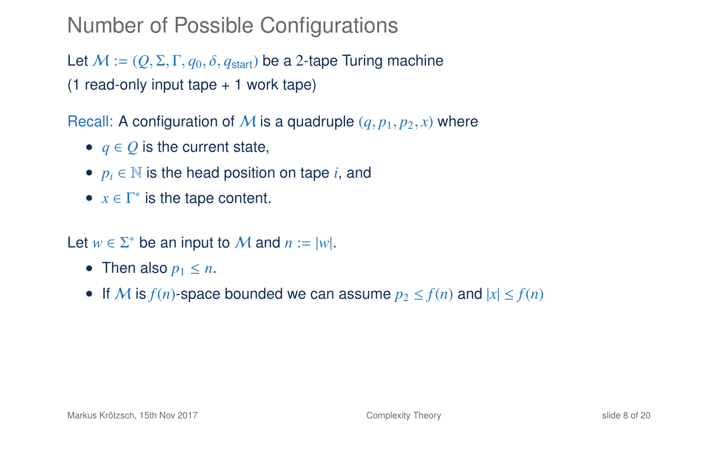#### Number of Possible Configurations

Let  $M := (Q, \Sigma, \Gamma, q_0, \delta, q_{start})$  be a 2-tape Turing machine (1 read-only input tape + 1 work tape)

Recall: A configuration of M is a quadruple  $(q, p_1, p_2, x)$  where

- $q \in Q$  is the current state,
- $p_i \in \mathbb{N}$  is the head position on tape *i*, and
- $x \in \Gamma^*$  is the tape content.

Let  $w \in \Sigma^*$  be an input to M and  $n := |w|$ .

- Then also  $p_1 \leq n$ .
- If M is  $f(n)$ -space bounded we can assume  $p_2 \le f(n)$  and  $|x| \le f(n)$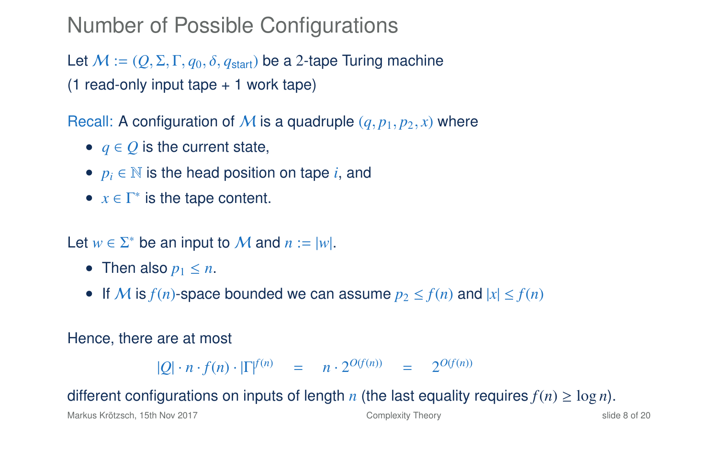#### Number of Possible Configurations

Let  $M := (Q, \Sigma, \Gamma, q_0, \delta, q_{start})$  be a 2-tape Turing machine (1 read-only input tape + 1 work tape)

Recall: A configuration of M is a quadruple  $(q, p_1, p_2, x)$  where

- $q \in Q$  is the current state,
- $p_i \in \mathbb{N}$  is the head position on tape *i*, and
- $x \in \Gamma^*$  is the tape content.

Let  $w \in \Sigma^*$  be an input to M and  $n := |w|$ .

- Then also  $p_1 \leq n$ .
- If M is  $f(n)$ -space bounded we can assume  $p_2 \le f(n)$  and  $|x| \le f(n)$

#### Hence, there are at most

 $|Q| \cdot n \cdot f(n) \cdot |\Gamma|^{f(n)} = n \cdot 2^{O(f(n))} = 2^{O(f(n))}$ 

#### different configurations on inputs of length *n* (the last equality requires  $f(n) > \log n$ ).

Markus Krötzsch, 15th Nov 2017 [Complexity Theory](#page-0-0) slide 8 of 20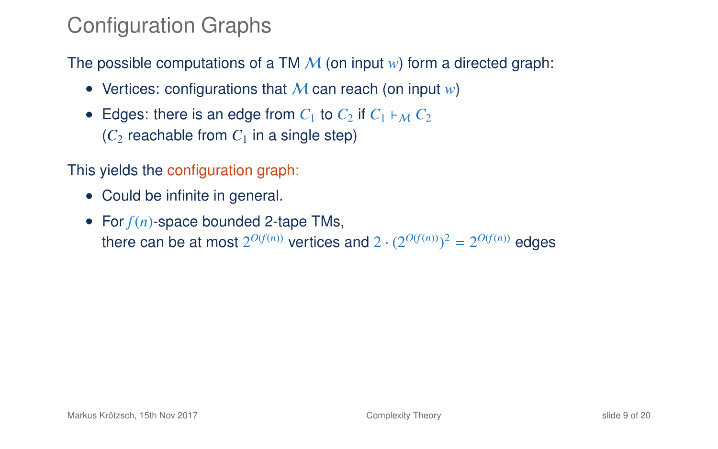# Configuration Graphs

The possible computations of a TM  $M$  (on input  $w$ ) form a directed graph:

- Vertices: configurations that M can reach (on input *w*)
- Edges: there is an edge from  $C_1$  to  $C_2$  if  $C_1 \vdash_M C_2$  $(C_2$  reachable from  $C_1$  in a single step)

This yields the configuration graph:

- Could be infinite in general.
- For *f*(*n*)-space bounded 2-tape TMs, there can be at most  $2^{O(f(n))}$  vertices and  $2 \cdot (2^{O(f(n))})^2 = 2^{O(f(n))}$  edges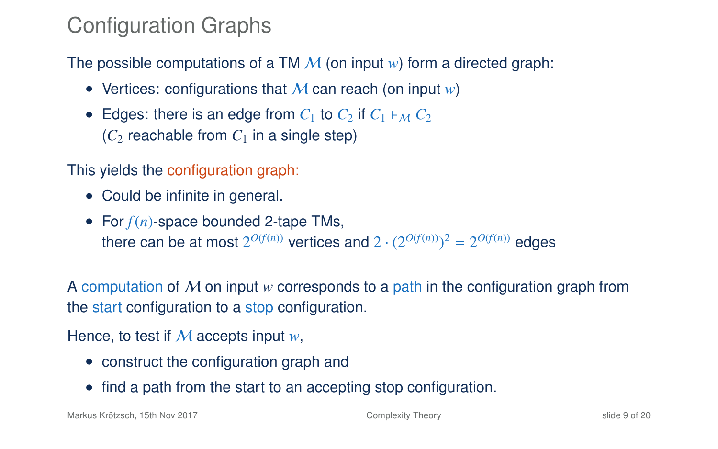# Configuration Graphs

The possible computations of a TM  $\mathcal M$  (on input  $w$ ) form a directed graph:

- Vertices: configurations that M can reach (on input *w*)
- Edges: there is an edge from  $C_1$  to  $C_2$  if  $C_1 \vdash_M C_2$  $(C_2$  reachable from  $C_1$  in a single step)

This yields the configuration graph:

- Could be infinite in general.
- For *f*(*n*)-space bounded 2-tape TMs, there can be at most  $2^{O(f(n))}$  vertices and  $2 \cdot (2^{O(f(n))})^2 = 2^{O(f(n))}$  edges

A computation of M on input *w* corresponds to a path in the configuration graph from the start configuration to a stop configuration.

Hence, to test if M accepts input *w*,

- construct the configuration graph and
- find a path from the start to an accepting stop configuration.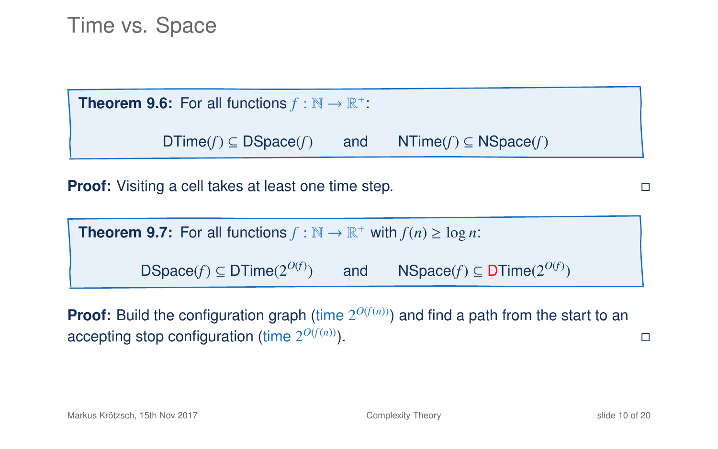**Theorem 9.6:** For all functions  $f : \mathbb{N} \to \mathbb{R}^+$ :

DTime(*f*) ⊆ DSpace(*f*) and NTime(*f*) ⊆ NSpace(*f*)

**Proof:** Visiting a cell takes at least one time step.

| <b>Theorem 9.7:</b> For all functions $f : \mathbb{N} \to \mathbb{R}^+$ with $f(n) \ge \log n$ : |     |                                           |  |  |
|--------------------------------------------------------------------------------------------------|-----|-------------------------------------------|--|--|
| DSpace(f) $\subseteq$ DTime( $2^{O(f)}$ )                                                        | and | NSpace(f) $\subseteq$ DTime( $2^{O(f)}$ ) |  |  |

**Proof:** Build the configuration graph (time  $2^{O(f(n))}$ ) and find a path from the start to an accepting stop configuration (time  $2^{O(f(n))}$ ).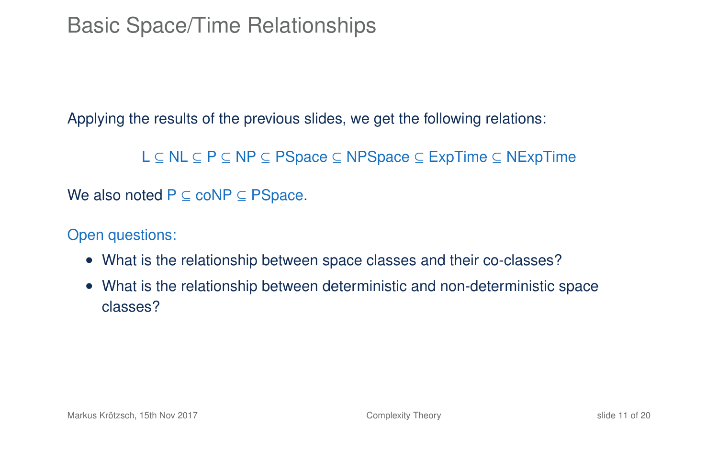#### Basic Space/Time Relationships

Applying the results of the previous slides, we get the following relations:

L ⊆ NL ⊆ P ⊆ NP ⊆ PSpace ⊆ NPSpace ⊆ ExpTime ⊆ NExpTime

We also noted  $P \subseteq \text{coNP} \subseteq \text{PSpace}$ .

Open questions:

- What is the relationship between space classes and their co-classes?
- What is the relationship between deterministic and non-deterministic space classes?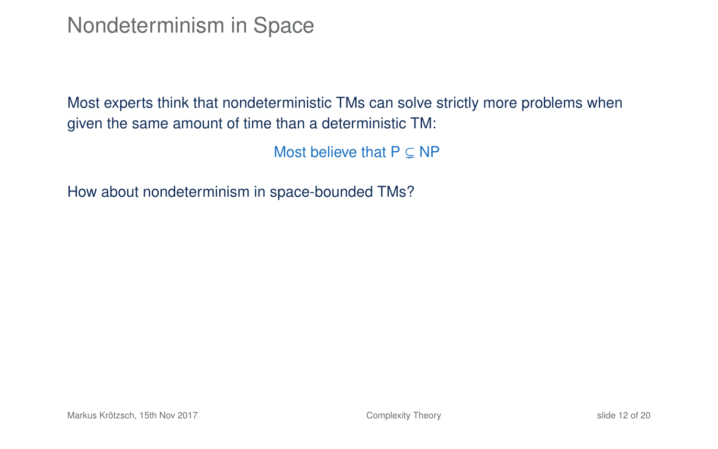Nondeterminism in Space

Most experts think that nondeterministic TMs can solve strictly more problems when given the same amount of time than a deterministic TM:

<span id="page-21-0"></span>Most believe that  $P \subset NP$ 

How about nondeterminism in space-bounded TMs?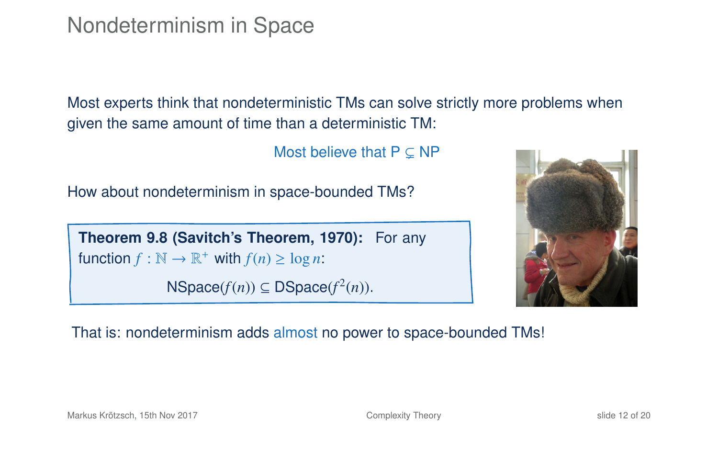Nondeterminism in Space

Most experts think that nondeterministic TMs can solve strictly more problems when given the same amount of time than a deterministic TM:

Most believe that  $P \subset NP$ 

How about nondeterminism in space-bounded TMs?

**Theorem 9.8 (Savitch's Theorem, 1970):** For any function  $f : \mathbb{N} \to \mathbb{R}^+$  with  $f(n) \ge \log n$ :

 $NSpace(f(n)) \subseteq DSpace(f^2(n)).$ 



That is: nondeterminism adds almost no power to space-bounded TMs!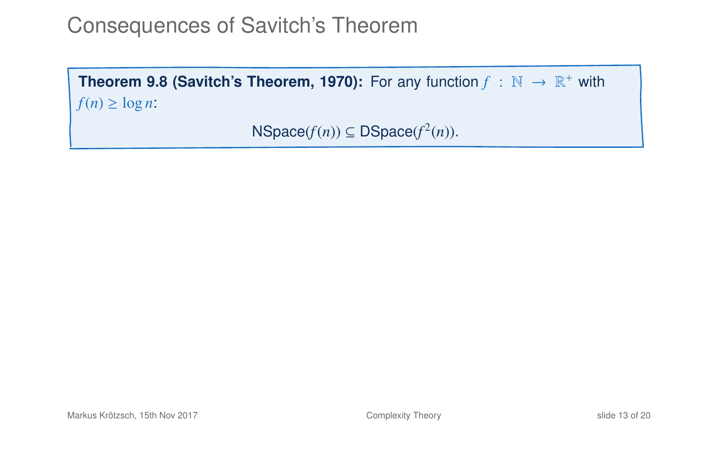### Consequences of Savitch's Theorem

**Theorem 9[.8](#page-21-0) (Savitch's Theorem, 1970):** For any function  $f : \mathbb{N} \to \mathbb{R}^+$  with  $f(n) \geq \log n$ :

```
NSpace(f(n)) \subseteq DSpace(f^2(n)).
```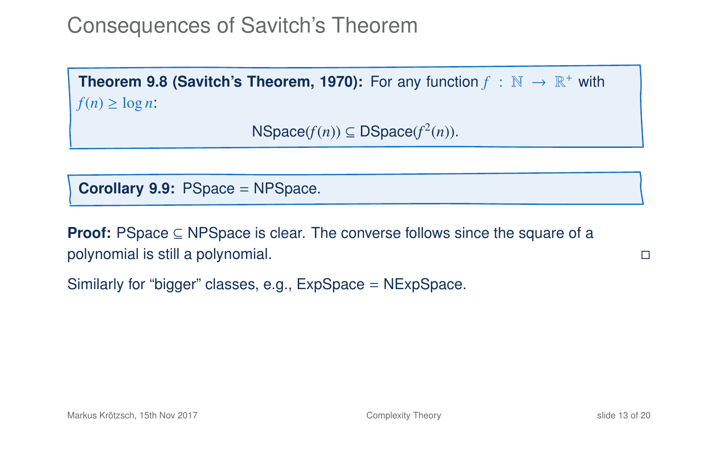# Consequences of Savitch's Theorem

**Theorem 9[.8](#page-21-0) (Savitch's Theorem, 1970):** For any function  $f : \mathbb{N} \to \mathbb{R}^+$  with  $f(n) \geq \log n$ :

```
NSpace(f(n)) \subseteq DSpace(f^2(n)).
```
**Corollary 9.9:** PSpace = NPSpace.

**Proof:** PSpace ⊆ NPSpace is clear. The converse follows since the square of a polynomial is still a polynomial.

Similarly for "bigger" classes, e.g., ExpSpace = NExpSpace.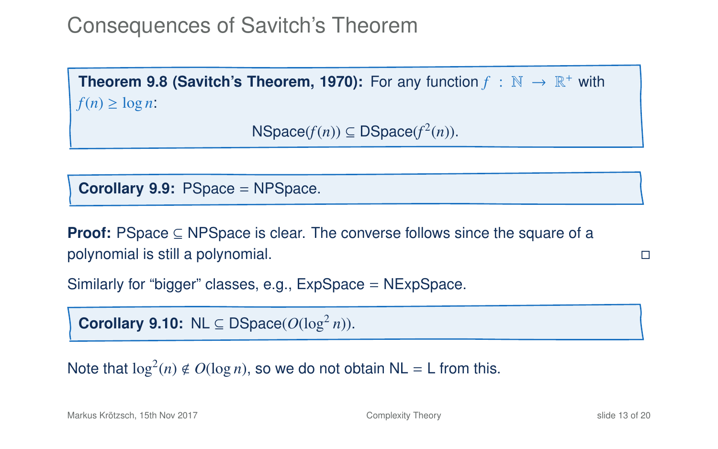## Consequences of Savitch's Theorem

**Theorem 9[.8](#page-21-0) (Savitch's Theorem, 1970):** For any function  $f : \mathbb{N} \to \mathbb{R}^+$  with  $f(n) \geq \log n$ :

```
NSpace(f(n)) \subseteq DSpace(f^2(n)).
```
**Corollary 9.9:** PSpace = NPSpace.

**Proof:** PSpace ⊆ NPSpace is clear. The converse follows since the square of a polynomial is still a polynomial.

Similarly for "bigger" classes, e.g., ExpSpace = NExpSpace.

**Corollary 9.10:** NL  $\subseteq$  DSpace( $O(\log^2 n)$ ).

Note that  $\log^2(n) \notin O(\log n)$ , so we do not obtain NL = L from this.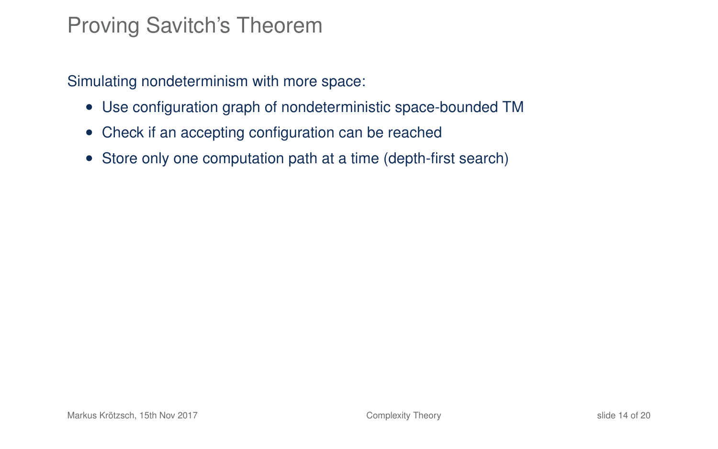#### Proving Savitch's Theorem

Simulating nondeterminism with more space:

- Use configuration graph of nondeterministic space-bounded TM
- Check if an accepting configuration can be reached
- Store only one computation path at a time (depth-first search)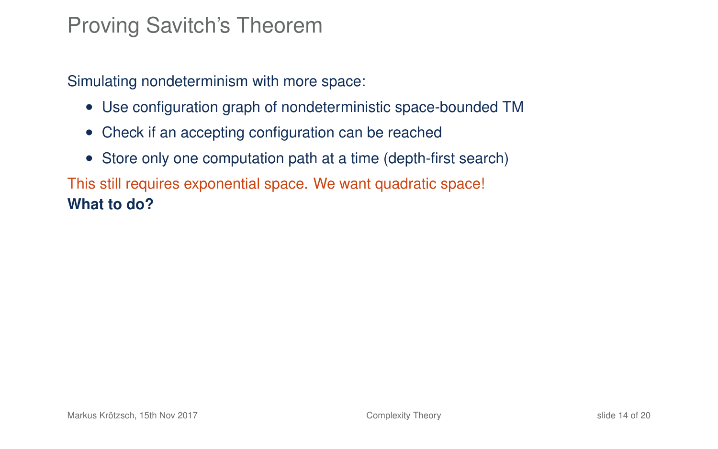#### Proving Savitch's Theorem

Simulating nondeterminism with more space:

- Use configuration graph of nondeterministic space-bounded TM
- Check if an accepting configuration can be reached
- Store only one computation path at a time (depth-first search)

This still requires exponential space. We want quadratic space! **What to do?**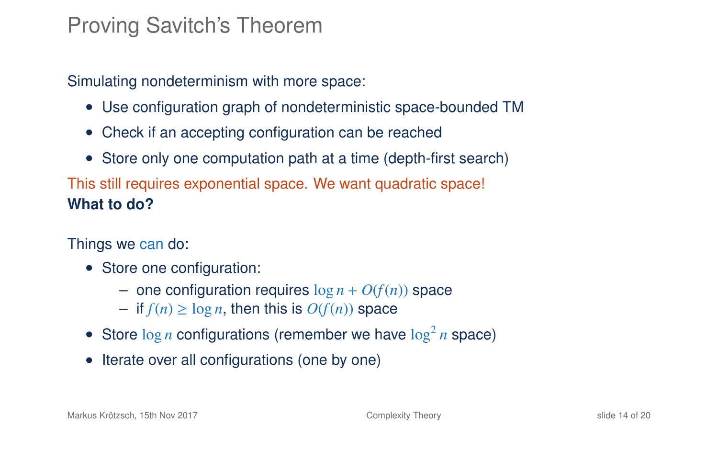#### Proving Savitch's Theorem

Simulating nondeterminism with more space:

- Use configuration graph of nondeterministic space-bounded TM
- Check if an accepting configuration can be reached
- Store only one computation path at a time (depth-first search)

This still requires exponential space. We want quadratic space! **What to do?**

Things we can do:

- Store one configuration:
	- one configuration requires  $\log n + O(f(n))$  space
	- $−$  if  $f(n) ≥ log n$ , then this is  $O(f(n))$  space
- Store  $\log n$  configurations (remember we have  $\log^2 n$  space)
- Iterate over all configurations (one by one)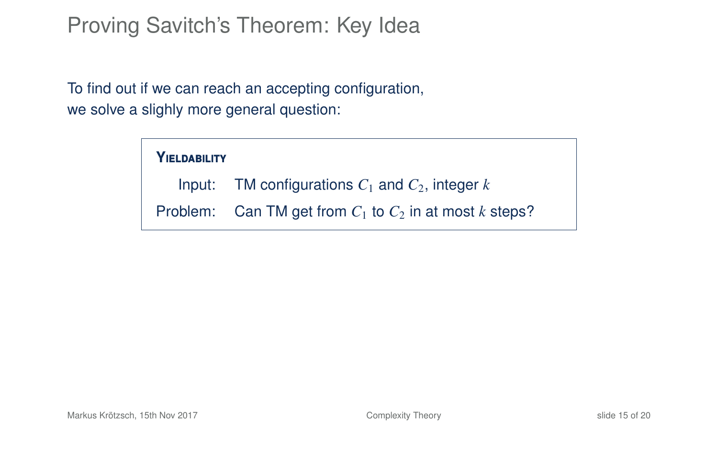#### Proving Savitch's Theorem: Key Idea

To find out if we can reach an accepting configuration, we solve a slighly more general question:

#### **Y**ieldability

Input: TM configurations  $C_1$  and  $C_2$ , integer  $k$ 

Problem: Can TM get from  $C_1$  to  $C_2$  in at most *k* steps?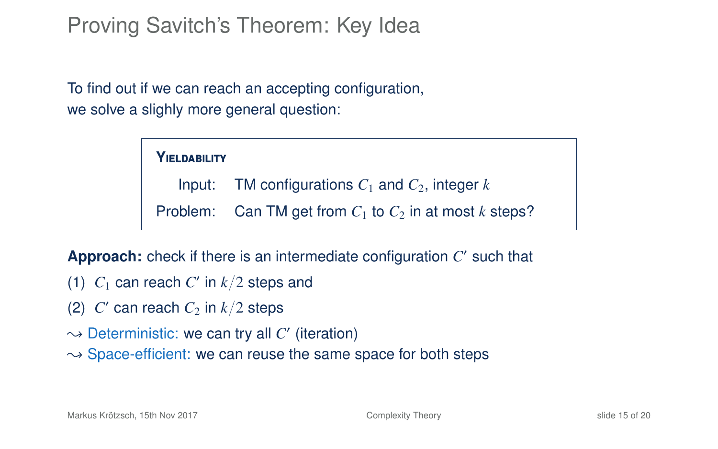### Proving Savitch's Theorem: Key Idea

To find out if we can reach an accepting configuration, we solve a slighly more general question:

#### **Y**ieldability

Input: TM configurations  $C_1$  and  $C_2$ , integer  $k$ 

Problem: Can TM get from  $C_1$  to  $C_2$  in at most  $k$  steps?

Approach: check if there is an intermediate configuration C' such that

- (1)  $C_1$  can reach  $C'$  in  $k/2$  steps and
- (2)  $C'$  can reach  $C_2$  in  $k/2$  steps
- $\rightsquigarrow$  Deterministic: we can try all  $C'$  (iteration)
- $\rightarrow$  Space-efficient: we can reuse the same space for both steps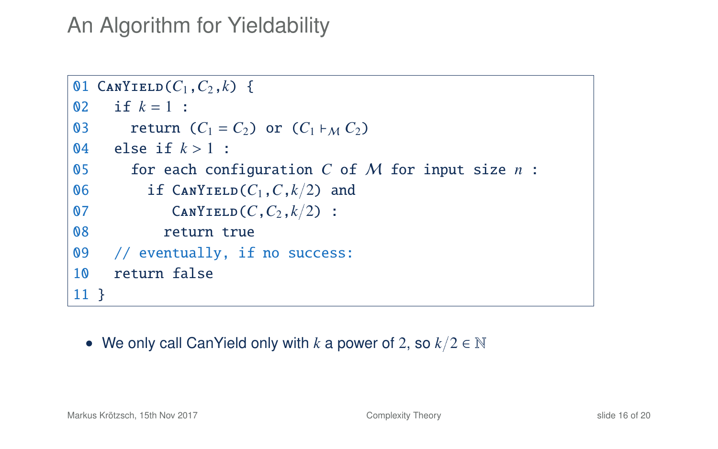#### An Algorithm for Yieldability

```
01 CANYIELD(C_1, C_2, k) {
02 if k = 1 :
03 return (C_1 = C_2) or (C_1 \vdash_M C_2)04 else if k > 1 :<br>05 for each con
       for each configuration C of M for input size n :
06 if \text{CanY}IELD(C_1, C, k/2) and
07 CANYIELD(C, C_2, k/2) :
08 return true
09 // eventually, if no success:
10 return false
11 }
```
• We only call CanYield only with *k* a power of 2, so *k*/2 ∈ N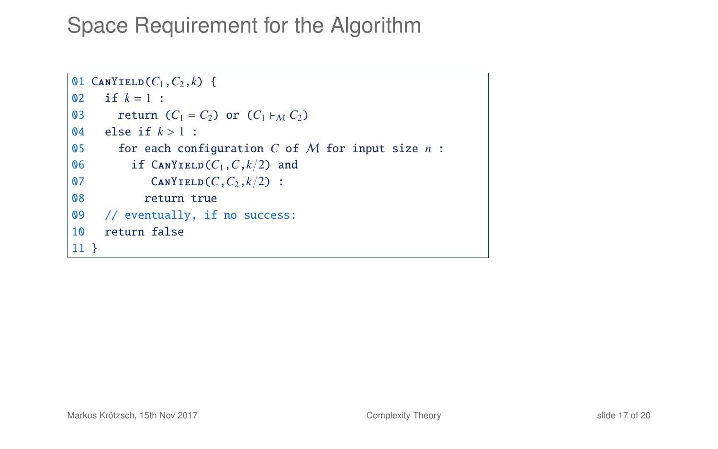```
01 CANYIELD(C_1, C_2, k) {
02 if k = 1 :
03 return (C_1 = C_2) or (C_1 \vdash_M C_2)04 else if k > 1 :<br>05 for each comp
       for each configuration C of M for input size n :
06 if \text{CanY}IELD(C_1, C, k/2) and
07 CANYIELD(C, C_2, k/2):
08 return true
09 // eventually, if no success:
10 return false
11 }
```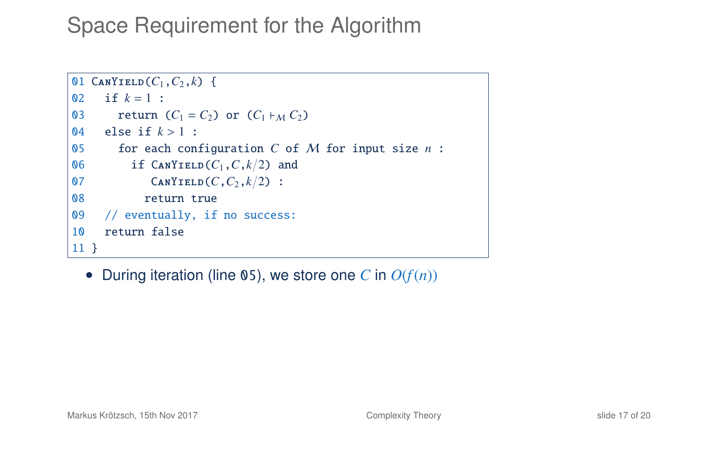```
01 CANYIELD(C_1, C_2, k) {
02 if k = 1 :
03 return (C_1 = C_2) or (C_1 \vdash_M C_2)04 else if k > 1 :<br>05 for each comp
       for each configuration C of M for input size n :
06 if \text{CanY}IELD(C_1, C, k/2) and
07 CANYIELD(C,C_2,k/2):
08 return true
09 // eventually, if no success:
10 return false
11 }
```
• During iteration (line 05), we store one C in  $O(f(n))$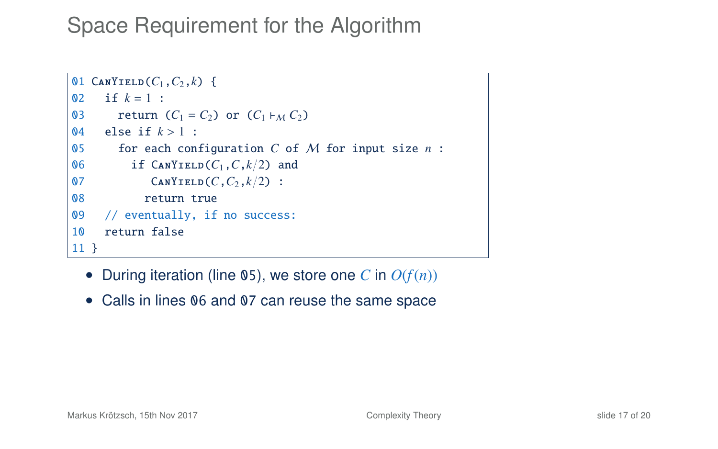```
01 CANYIELD(C_1, C_2, k) {
02 if k = 1 :
03 return (C_1 = C_2) or (C_1 \vdash_M C_2)04 else if k > 1 :<br>05 for each comp
       for each configuration C of M for input size n :
06 if \text{CanY}IELD(C_1, C, k/2) and
07 CANYIELD(C,C_2,k/2):
08 return true
09 // eventually, if no success:
10 return false
11 }
```
- During iteration (line 05), we store one C in  $O(f(n))$
- Calls in lines 06 and 07 can reuse the same space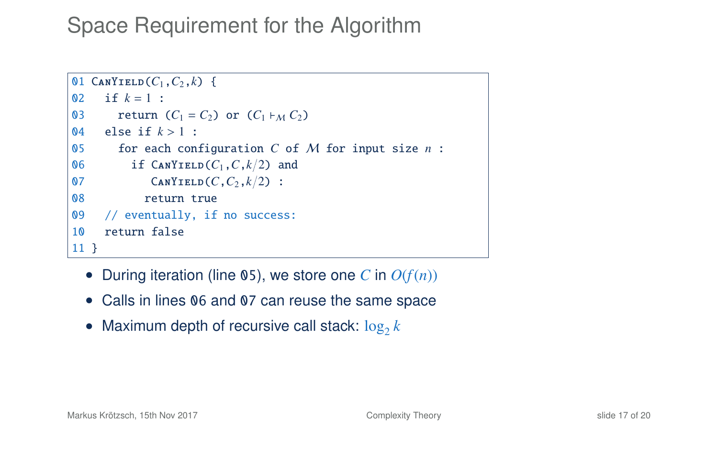```
01 CANYIELD(C_1, C_2, k) {
02 if k = 1 :
03 return (C_1 = C_2) or (C_1 \nmid_M C_2)04 else if k > 1 :<br>05 for each con
       for each configuration C of M for input size n :
06 if \text{CanY}IELD(C_1, C, k/2) and
07 CANYIELD(C,C_2,k/2):
08 return true
09 // eventually, if no success:
10 return false
11 }
```
- During iteration (line 05), we store one C in  $O(f(n))$
- Calls in lines 06 and 07 can reuse the same space
- Maximum depth of recursive call stack:  $\log_2 k$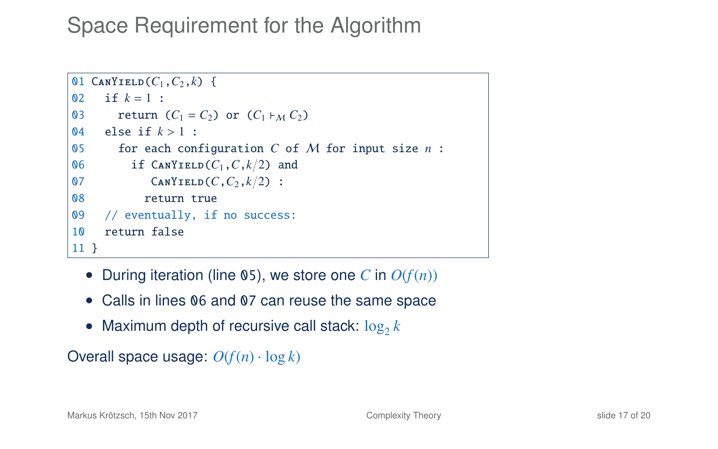```
01 CANYIELD(C_1, C_2, k) {
02 if k = 1 :
03 return (C_1 = C_2) or (C_1 \nmid_M C_2)04 else if k > 1 :<br>05 for each con
       for each configuration C of M for input size n :
06 if \text{CanY}IELD(C_1, C, k/2) and
07 CANYIELD(C,C_2,k/2):
08 return true
09 // eventually, if no success:
10 return false
11 }
```
- During iteration (line 05), we store one C in  $O(f(n))$
- Calls in lines 06 and 07 can reuse the same space
- Maximum depth of recursive call stack:  $\log_2 k$

Overall space usage:  $O(f(n) \cdot \log k)$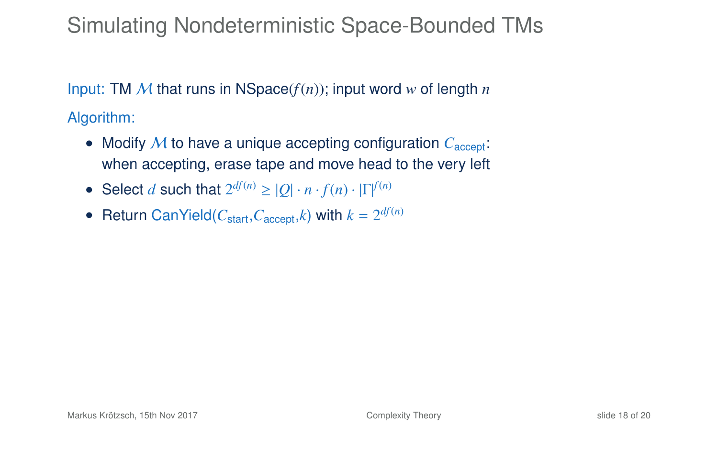### Simulating Nondeterministic Space-Bounded TMs

Input: TM M that runs in NSpace(*f*(*n*)); input word *w* of length *n* Algorithm:

- Modify *M* to have a unique accepting configuration  $C_{\text{acceler}}$ : when accepting, erase tape and move head to the very left
- Select *d* such that  $2^{df(n)} \geq |Q| \cdot n \cdot f(n) \cdot |\Gamma|^{f(n)}$
- Return CanYield( $C_{\text{start}}$ , $C_{\text{accept}}$ , $k$ ) with  $k = 2^{df(n)}$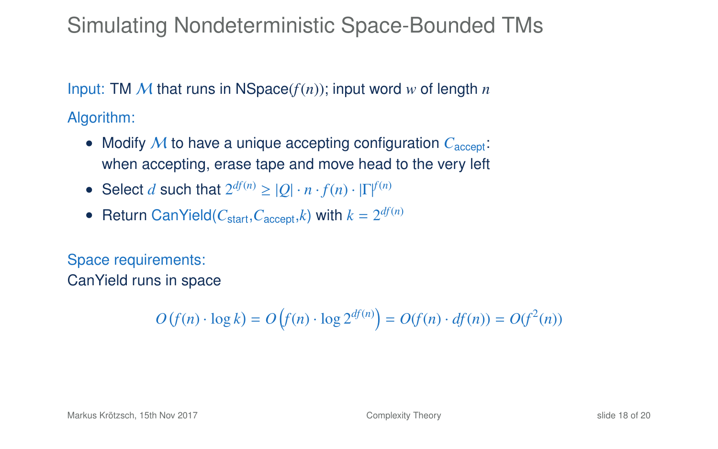#### Simulating Nondeterministic Space-Bounded TMs

Input: TM  $M$  that runs in NSpace( $f(n)$ ); input word  $w$  of length  $n$ Algorithm:

- Modify M to have a unique accepting configuration  $C_{\text{acent}}$ : when accepting, erase tape and move head to the very left
- Select *d* such that  $2^{df(n)} \geq |Q| \cdot n \cdot f(n) \cdot |\Gamma|^{f(n)}$
- Return CanYield( $C_{\text{start}}$ , $C_{\text{accept}}$ , $k$ ) with  $k = 2^{df(n)}$

Space requirements: CanYield runs in space

 $O(f(n) \cdot \log k) = O(f(n) \cdot \log 2^{df(n)}) = O(f(n) \cdot df(n)) = O(f^2(n))$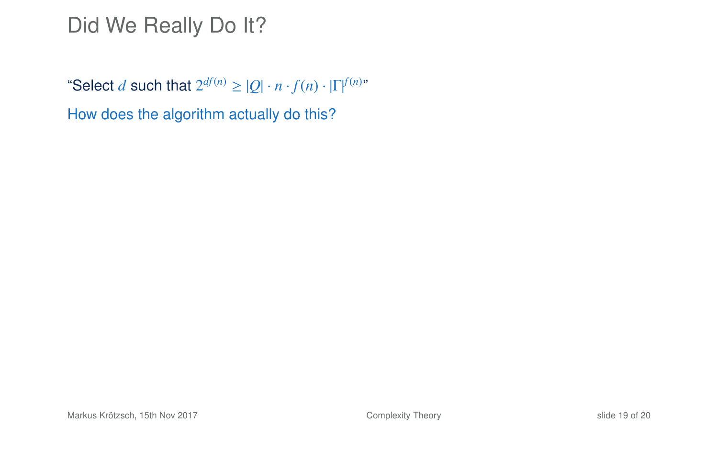"Select *d* such that  $2^{df(n)} \geq |Q| \cdot n \cdot f(n) \cdot |\Gamma|^{f(n)n}$ 

How does the algorithm actually do this?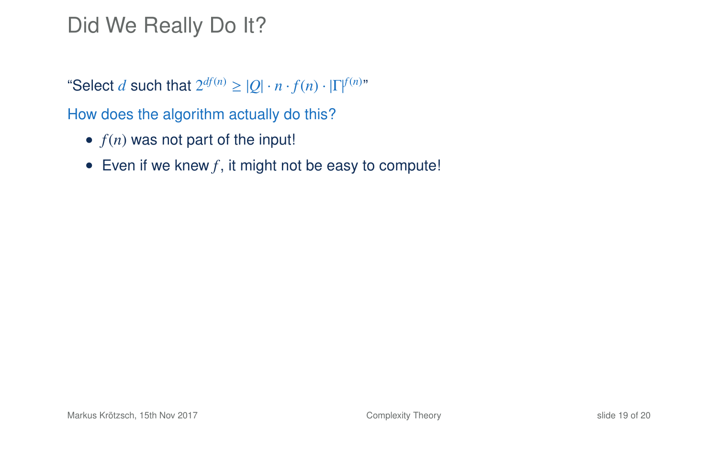"Select *d* such that  $2^{df(n)} \geq |Q| \cdot n \cdot f(n) \cdot |\Gamma|^{f(n)n}$ 

How does the algorithm actually do this?

- $f(n)$  was not part of the input!
- Even if we knew  $f$ , it might not be easy to compute!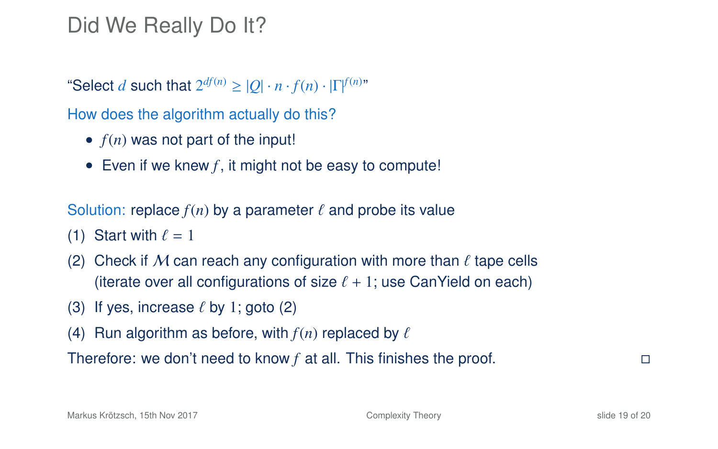"Select *d* such that  $2^{df(n)} \geq |Q| \cdot n \cdot f(n) \cdot |\Gamma|^{f(n)n}$ 

How does the algorithm actually do this?

- $\bullet$   $f(n)$  was not part of the input!
- Even if we knew  $f$ , it might not be easy to compute!

Solution: replace  $f(n)$  by a parameter  $\ell$  and probe its value

- (1) Start with  $\ell = 1$
- (2) Check if M can reach any configuration with more than  $\ell$  tape cells (iterate over all configurations of size  $\ell + 1$ ; use CanYield on each)
- (3) If yes, increase  $\ell$  by 1; goto (2)
- (4) Run algorithm as before, with  $f(n)$  replaced by  $\ell$

Therefore: we don't need to know *f* at all. This finishes the proof.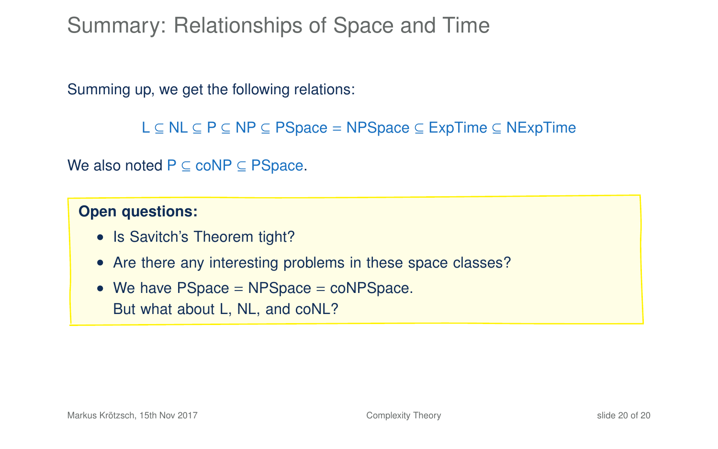Summary: Relationships of Space and Time

Summing up, we get the following relations:

```
L ⊆ NL ⊆ P ⊆ NP ⊆ PSpace = NPSpace ⊆ ExpTime ⊆ NExpTime
```
We also noted  $P \subseteq \text{coNP} \subseteq \text{PSpace}$ .

#### **Open questions:**

- Is Savitch's Theorem tight?
- Are there any interesting problems in these space classes?
- We have PSpace = NPSpace = coNPSpace. But what about L, NL, and coNL?